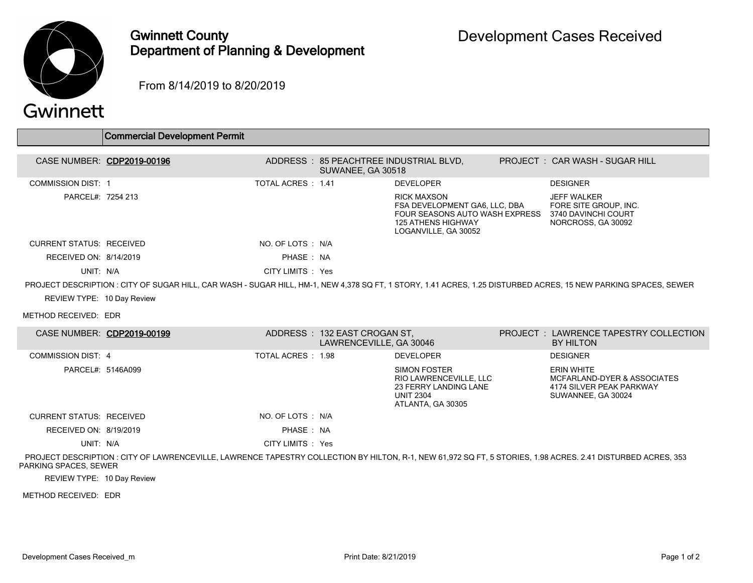

## Gwinnett County Department of Planning & Development

From 8/14/2019 to 8/20/2019

## Gwinnett

|                                                                                                                                                                 | <b>Commercial Development Permit</b>                                                                                                                         |                    |                                                         |                                                                                                                                            |  |                                                                                                    |  |  |  |  |
|-----------------------------------------------------------------------------------------------------------------------------------------------------------------|--------------------------------------------------------------------------------------------------------------------------------------------------------------|--------------------|---------------------------------------------------------|--------------------------------------------------------------------------------------------------------------------------------------------|--|----------------------------------------------------------------------------------------------------|--|--|--|--|
|                                                                                                                                                                 | CASE NUMBER: CDP2019-00196                                                                                                                                   |                    | ADDRESS: 85 PEACHTREE INDUSTRIAL BLVD,                  |                                                                                                                                            |  | PROJECT: CAR WASH - SUGAR HILL                                                                     |  |  |  |  |
|                                                                                                                                                                 |                                                                                                                                                              |                    | SUWANEE, GA 30518                                       |                                                                                                                                            |  |                                                                                                    |  |  |  |  |
| <b>COMMISSION DIST: 1</b>                                                                                                                                       |                                                                                                                                                              | TOTAL ACRES : 1.41 |                                                         | <b>DEVELOPER</b>                                                                                                                           |  | <b>DESIGNER</b>                                                                                    |  |  |  |  |
| PARCEL#: 7254 213                                                                                                                                               |                                                                                                                                                              |                    |                                                         | <b>RICK MAXSON</b><br>FSA DEVELOPMENT GA6, LLC, DBA<br>FOUR SEASONS AUTO WASH EXPRESS<br><b>125 ATHENS HIGHWAY</b><br>LOGANVILLE, GA 30052 |  | <b>JEFF WALKER</b><br>FORE SITE GROUP, INC.<br>3740 DAVINCHI COURT<br>NORCROSS, GA 30092           |  |  |  |  |
| <b>CURRENT STATUS: RECEIVED</b>                                                                                                                                 |                                                                                                                                                              | NO. OF LOTS : N/A  |                                                         |                                                                                                                                            |  |                                                                                                    |  |  |  |  |
| RECEIVED ON: 8/14/2019                                                                                                                                          |                                                                                                                                                              | PHASE: NA          |                                                         |                                                                                                                                            |  |                                                                                                    |  |  |  |  |
| UNIT: N/A                                                                                                                                                       |                                                                                                                                                              | CITY LIMITS : Yes  |                                                         |                                                                                                                                            |  |                                                                                                    |  |  |  |  |
| PROJECT DESCRIPTION : CITY OF SUGAR HILL, CAR WASH - SUGAR HILL, HM-1, NEW 4,378 SQ FT, 1 STORY, 1.41 ACRES, 1.25 DISTURBED ACRES, 15 NEW PARKING SPACES, SEWER |                                                                                                                                                              |                    |                                                         |                                                                                                                                            |  |                                                                                                    |  |  |  |  |
| REVIEW TYPE: 10 Day Review                                                                                                                                      |                                                                                                                                                              |                    |                                                         |                                                                                                                                            |  |                                                                                                    |  |  |  |  |
| METHOD RECEIVED: EDR                                                                                                                                            |                                                                                                                                                              |                    |                                                         |                                                                                                                                            |  |                                                                                                    |  |  |  |  |
|                                                                                                                                                                 | CASE NUMBER: CDP2019-00199                                                                                                                                   |                    | ADDRESS: 132 EAST CROGAN ST,<br>LAWRENCEVILLE, GA 30046 |                                                                                                                                            |  | PROJECT: LAWRENCE TAPESTRY COLLECTION<br><b>BY HILTON</b>                                          |  |  |  |  |
| <b>COMMISSION DIST: 4</b>                                                                                                                                       |                                                                                                                                                              | TOTAL ACRES : 1.98 |                                                         | <b>DEVELOPER</b>                                                                                                                           |  | <b>DESIGNER</b>                                                                                    |  |  |  |  |
| PARCEL#: 5146A099                                                                                                                                               |                                                                                                                                                              |                    |                                                         | <b>SIMON FOSTER</b><br>RIO LAWRENCEVILLE, LLC<br><b>23 FERRY LANDING LANE</b><br><b>UNIT 2304</b><br>ATLANTA, GA 30305                     |  | <b>ERIN WHITE</b><br>MCFARLAND-DYER & ASSOCIATES<br>4174 SILVER PEAK PARKWAY<br>SUWANNEE, GA 30024 |  |  |  |  |
| <b>CURRENT STATUS: RECEIVED</b>                                                                                                                                 |                                                                                                                                                              | NO. OF LOTS : N/A  |                                                         |                                                                                                                                            |  |                                                                                                    |  |  |  |  |
| RECEIVED ON: 8/19/2019                                                                                                                                          |                                                                                                                                                              | PHASE: NA          |                                                         |                                                                                                                                            |  |                                                                                                    |  |  |  |  |
| UNIT: N/A                                                                                                                                                       |                                                                                                                                                              | CITY LIMITS : Yes  |                                                         |                                                                                                                                            |  |                                                                                                    |  |  |  |  |
| PARKING SPACES, SEWER                                                                                                                                           | PROJECT DESCRIPTION : CITY OF LAWRENCEVILLE, LAWRENCE TAPESTRY COLLECTION BY HILTON, R-1, NEW 61,972 SQ FT, 5 STORIES, 1.98 ACRES. 2.41 DISTURBED ACRES, 353 |                    |                                                         |                                                                                                                                            |  |                                                                                                    |  |  |  |  |

REVIEW TYPE: 10 Day Review

METHOD RECEIVED: EDR